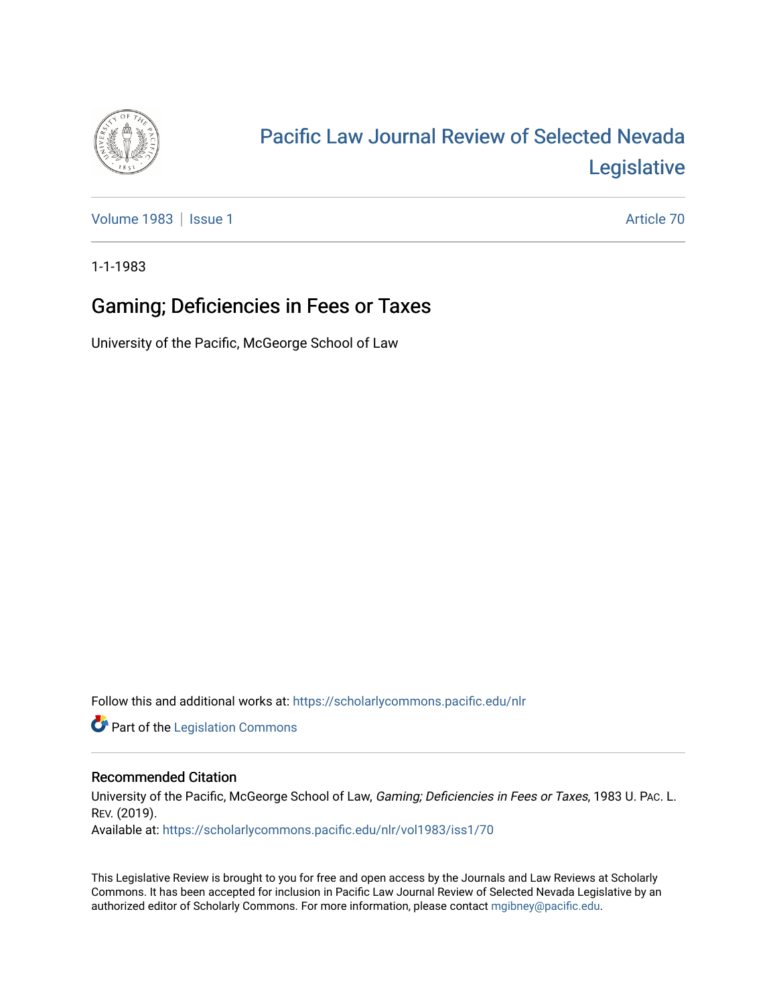

## [Pacific Law Journal Review of Selected Nevada](https://scholarlycommons.pacific.edu/nlr)  [Legislative](https://scholarlycommons.pacific.edu/nlr)

[Volume 1983](https://scholarlycommons.pacific.edu/nlr/vol1983) | [Issue 1](https://scholarlycommons.pacific.edu/nlr/vol1983/iss1) Article 70

1-1-1983

## Gaming; Deficiencies in Fees or Taxes

University of the Pacific, McGeorge School of Law

Follow this and additional works at: [https://scholarlycommons.pacific.edu/nlr](https://scholarlycommons.pacific.edu/nlr?utm_source=scholarlycommons.pacific.edu%2Fnlr%2Fvol1983%2Fiss1%2F70&utm_medium=PDF&utm_campaign=PDFCoverPages) 

**Part of the [Legislation Commons](http://network.bepress.com/hgg/discipline/859?utm_source=scholarlycommons.pacific.edu%2Fnlr%2Fvol1983%2Fiss1%2F70&utm_medium=PDF&utm_campaign=PDFCoverPages)** 

## Recommended Citation

University of the Pacific, McGeorge School of Law, Gaming; Deficiencies in Fees or Taxes, 1983 U. PAc. L. REV. (2019). Available at: [https://scholarlycommons.pacific.edu/nlr/vol1983/iss1/70](https://scholarlycommons.pacific.edu/nlr/vol1983/iss1/70?utm_source=scholarlycommons.pacific.edu%2Fnlr%2Fvol1983%2Fiss1%2F70&utm_medium=PDF&utm_campaign=PDFCoverPages)

This Legislative Review is brought to you for free and open access by the Journals and Law Reviews at Scholarly Commons. It has been accepted for inclusion in Pacific Law Journal Review of Selected Nevada Legislative by an authorized editor of Scholarly Commons. For more information, please contact [mgibney@pacific.edu](mailto:mgibney@pacific.edu).